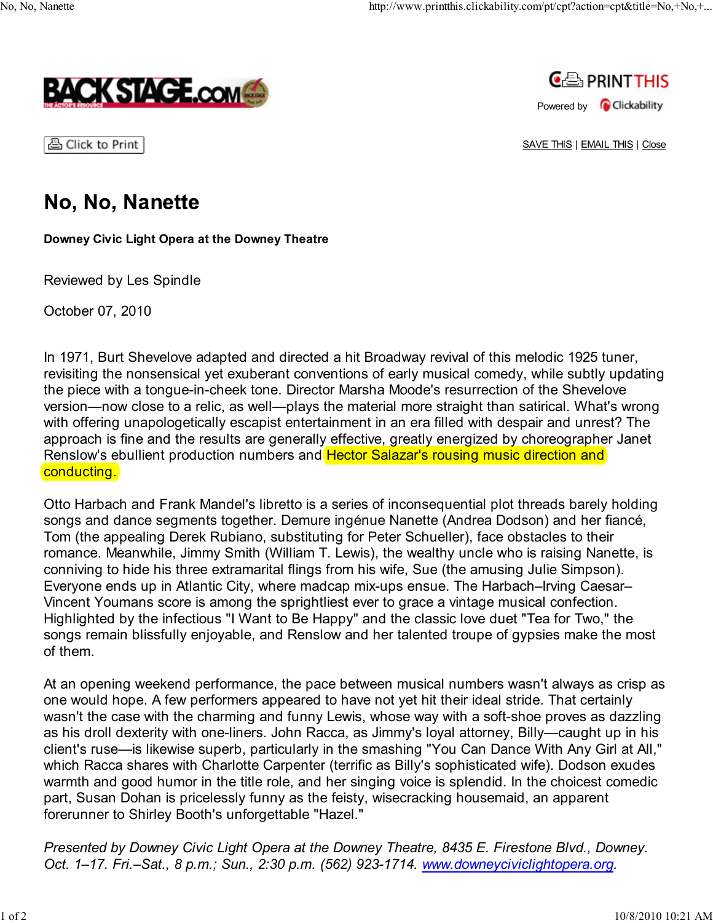



| 凸 Click to Print |

SAVE THIS | EMAIL THIS | Close

## No, No, Nanette

**Downey Civic Light Opera at the Downey Theatre**

Reviewed by Les Spindle

October 07, 2010

In 1971, Burt Shevelove adapted and directed a hit Broadway revival of this melodic 1925 tuner, revisiting the nonsensical yet exuberant conventions of early musical comedy, while subtly updating the piece with a tongue-in-cheek tone. Director Marsha Moode's resurrection of the Shevelove version—now close to a relic, as well—plays the material more straight than satirical. What's wrong with offering unapologetically escapist entertainment in an era filled with despair and unrest? The approach is fine and the results are generally effective, greatly energized by choreographer Janet Renslow's ebullient production numbers and Hector Salazar's rousing music direction and conducting.

Otto Harbach and Frank Mandel's libretto is a series of inconsequential plot threads barely holding songs and dance segments together. Demure ingénue Nanette (Andrea Dodson) and her fiancé, Tom (the appealing Derek Rubiano, substituting for Peter Schueller), face obstacles to their romance. Meanwhile, Jimmy Smith (William T. Lewis), the wealthy uncle who is raising Nanette, is conniving to hide his three extramarital flings from his wife, Sue (the amusing Julie Simpson). Everyone ends up in Atlantic City, where madcap mix-ups ensue. The Harbach–Irving Caesar– Vincent Youmans score is among the sprightliest ever to grace a vintage musical confection. Highlighted by the infectious "I Want to Be Happy" and the classic love duet "Tea for Two," the songs remain blissfully enjoyable, and Renslow and her talented troupe of gypsies make the most of them.

At an opening weekend performance, the pace between musical numbers wasn't always as crisp as one would hope. A few performers appeared to have not yet hit their ideal stride. That certainly wasn't the case with the charming and funny Lewis, whose way with a soft-shoe proves as dazzling as his droll dexterity with one-liners. John Racca, as Jimmy's loyal attorney, Billy—caught up in his client's ruse—is likewise superb, particularly in the smashing "You Can Dance With Any Girl at All," which Racca shares with Charlotte Carpenter (terrific as Billy's sophisticated wife). Dodson exudes warmth and good humor in the title role, and her singing voice is splendid. In the choicest comedic part, Susan Dohan is pricelessly funny as the feisty, wisecracking housemaid, an apparent forerunner to Shirley Booth's unforgettable "Hazel."

*Presented by Downey Civic Light Opera at the Downey Theatre, 8435 E. Firestone Blvd., Downey. Oct. 1–17. Fri.–Sat., 8 p.m.; Sun., 2:30 p.m. (562) 923-1714. www.downeyciviclightopera.org.*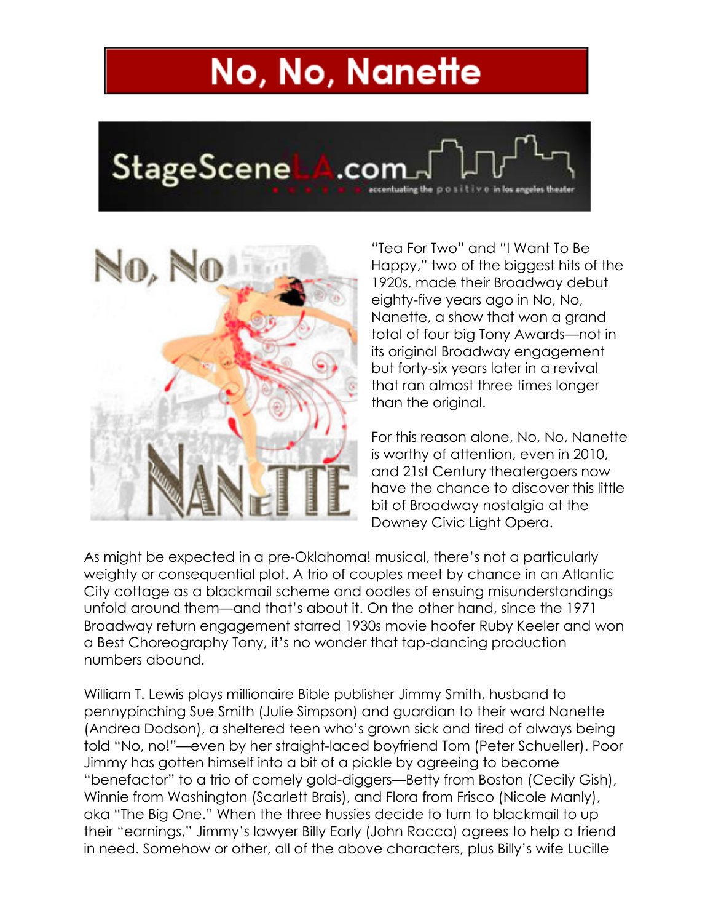## No, No, Nanette





"Tea For Two" and "I Want To Be Happy," two of the biggest hits of the 1920s, made their Broadway debut eighty-five years ago in No, No, Nanette, a show that won a grand total of four big Tony Awards—not in its original Broadway engagement but forty-six years later in a revival that ran almost three times longer than the original.

For this reason alone, No, No, Nanette is worthy of attention, even in 2010, and 21st Century theatergoers now have the chance to discover this little bit of Broadway nostalgia at the Downey Civic Light Opera.

As might be expected in a pre-Oklahoma! musical, there's not a particularly weighty or consequential plot. A trio of couples meet by chance in an Atlantic City cottage as a blackmail scheme and oodles of ensuing misunderstandings unfold around them—and that's about it. On the other hand, since the 1971 Broadway return engagement starred 1930s movie hoofer Ruby Keeler and won a Best Choreography Tony, it's no wonder that tap-dancing production numbers abound.

William T. Lewis plays millionaire Bible publisher Jimmy Smith, husband to pennypinching Sue Smith (Julie Simpson) and guardian to their ward Nanette (Andrea Dodson), a sheltered teen who's grown sick and tired of always being told "No, no!"—even by her straight-laced boyfriend Tom (Peter Schueller). Poor Jimmy has gotten himself into a bit of a pickle by agreeing to become "benefactor" to a trio of comely gold-diggers—Betty from Boston (Cecily Gish), Winnie from Washington (Scarlett Brais), and Flora from Frisco (Nicole Manly), aka "The Big One." When the three hussies decide to turn to blackmail to up their "earnings," Jimmy's lawyer Billy Early (John Racca) agrees to help a friend in need. Somehow or other, all of the above characters, plus Billy's wife Lucille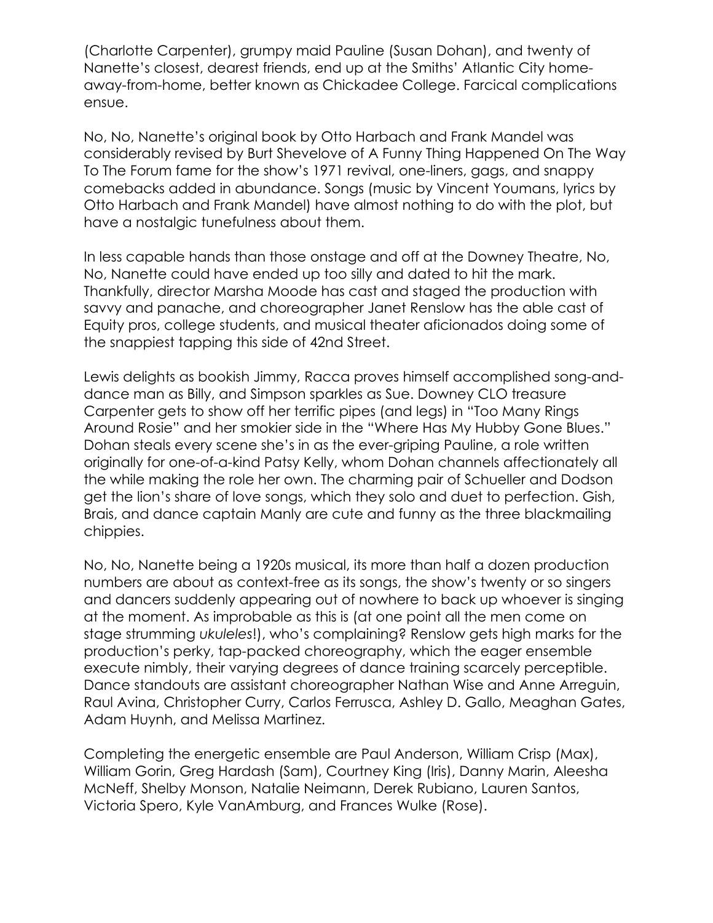(Charlotte Carpenter), grumpy maid Pauline (Susan Dohan), and twenty of Nanette's closest, dearest friends, end up at the Smiths' Atlantic City homeaway-from-home, better known as Chickadee College. Farcical complications ensue.

No, No, Nanette's original book by Otto Harbach and Frank Mandel was considerably revised by Burt Shevelove of A Funny Thing Happened On The Way To The Forum fame for the show's 1971 revival, one-liners, gags, and snappy comebacks added in abundance. Songs (music by Vincent Youmans, lyrics by Otto Harbach and Frank Mandel) have almost nothing to do with the plot, but have a nostalgic tunefulness about them.

In less capable hands than those onstage and off at the Downey Theatre, No, No, Nanette could have ended up too silly and dated to hit the mark. Thankfully, director Marsha Moode has cast and staged the production with savvy and panache, and choreographer Janet Renslow has the able cast of Equity pros, college students, and musical theater aficionados doing some of the snappiest tapping this side of 42nd Street.

Lewis delights as bookish Jimmy, Racca proves himself accomplished song-anddance man as Billy, and Simpson sparkles as Sue. Downey CLO treasure Carpenter gets to show off her terrific pipes (and legs) in "Too Many Rings Around Rosie" and her smokier side in the "Where Has My Hubby Gone Blues." Dohan steals every scene she's in as the ever-griping Pauline, a role written originally for one-of-a-kind Patsy Kelly, whom Dohan channels affectionately all the while making the role her own. The charming pair of Schueller and Dodson get the lion's share of love songs, which they solo and duet to perfection. Gish, Brais, and dance captain Manly are cute and funny as the three blackmailing chippies.

No, No, Nanette being a 1920s musical, its more than half a dozen production numbers are about as context-free as its songs, the show's twenty or so singers and dancers suddenly appearing out of nowhere to back up whoever is singing at the moment. As improbable as this is (at one point all the men come on stage strumming *ukuleles*!), who's complaining? Renslow gets high marks for the production's perky, tap-packed choreography, which the eager ensemble execute nimbly, their varying degrees of dance training scarcely perceptible. Dance standouts are assistant choreographer Nathan Wise and Anne Arreguin, Raul Avina, Christopher Curry, Carlos Ferrusca, Ashley D. Gallo, Meaghan Gates, Adam Huynh, and Melissa Martinez.

Completing the energetic ensemble are Paul Anderson, William Crisp (Max), William Gorin, Greg Hardash (Sam), Courtney King (Iris), Danny Marin, Aleesha McNeff, Shelby Monson, Natalie Neimann, Derek Rubiano, Lauren Santos, Victoria Spero, Kyle VanAmburg, and Frances Wulke (Rose).